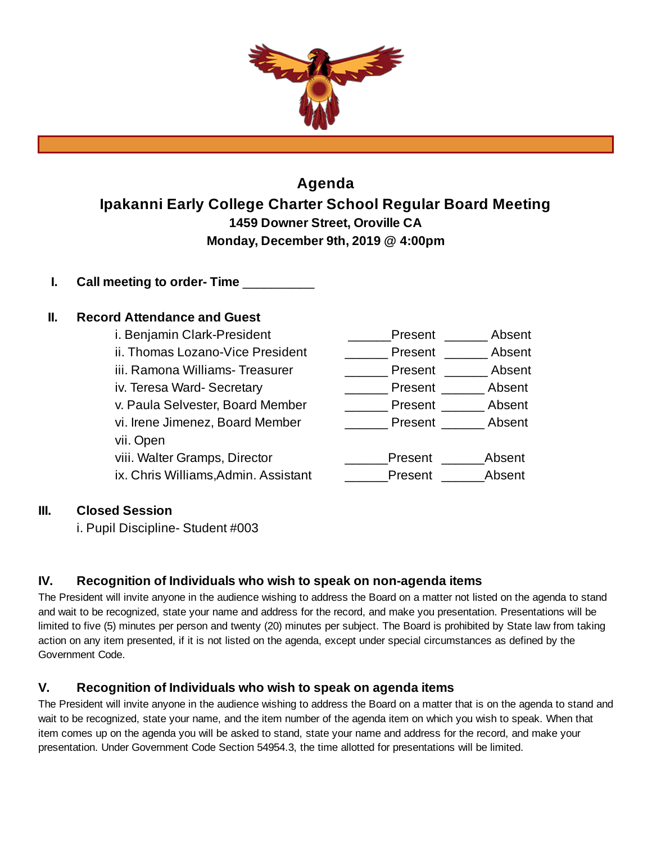

# **Agenda Ipakanni Early College Charter School Regular Board Meeting 1459 Downer Street, Oroville CA Monday, December 9th, 2019 @ 4:00pm**

**I. Call meeting to order- Time** \_\_\_\_\_\_\_\_\_\_

# **II. Record Attendance and Guest**

| Present | Absent |
|---------|--------|
| Present | Absent |
| Present | Absent |
| Present | Absent |
| Present | Absent |
| Present | Absent |
|         |        |
| Present | Absent |
| Present | Absent |
|         |        |

#### **III. Closed Session**

i. Pupil Discipline- Student #003

#### **IV. Recognition of Individuals who wish to speak on non-agenda items**

The President will invite anyone in the audience wishing to address the Board on a matter not listed on the agenda to stand and wait to be recognized, state your name and address for the record, and make you presentation. Presentations will be limited to five (5) minutes per person and twenty (20) minutes per subject. The Board is prohibited by State law from taking action on any item presented, if it is not listed on the agenda, except under special circumstances as defined by the Government Code.

#### **V. Recognition of Individuals who wish to speak on agenda items**

The President will invite anyone in the audience wishing to address the Board on a matter that is on the agenda to stand and wait to be recognized, state your name, and the item number of the agenda item on which you wish to speak. When that item comes up on the agenda you will be asked to stand, state your name and address for the record, and make your presentation. Under Government Code Section 54954.3, the time allotted for presentations will be limited.